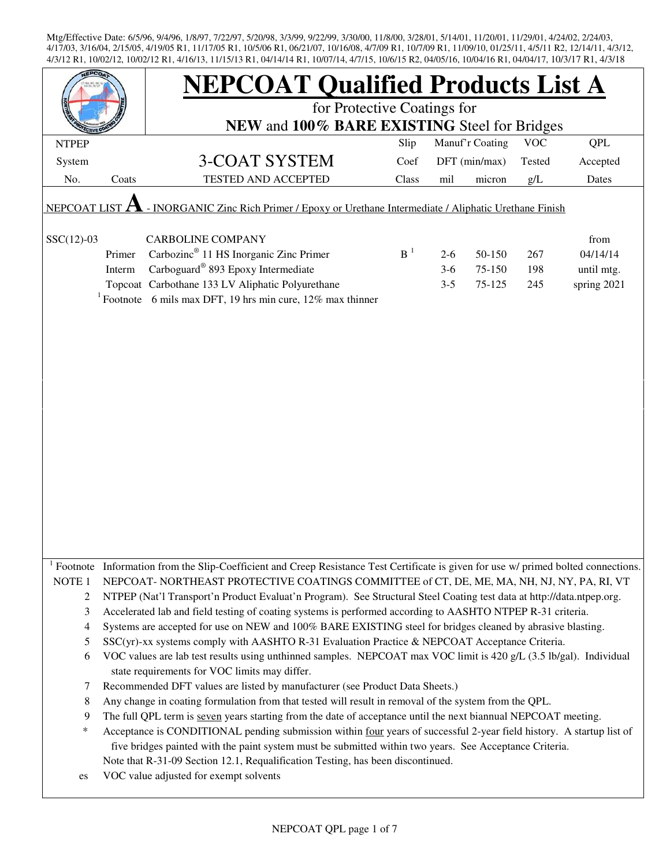| <b>FPCO</b>                                                                                               |        | <b>NEPCOAT Qualified Products List A</b>                                                                                                                            |       |         |                 |            |             |  |
|-----------------------------------------------------------------------------------------------------------|--------|---------------------------------------------------------------------------------------------------------------------------------------------------------------------|-------|---------|-----------------|------------|-------------|--|
|                                                                                                           |        | for Protective Coatings for                                                                                                                                         |       |         |                 |            |             |  |
|                                                                                                           |        | NEW and 100% BARE EXISTING Steel for Bridges                                                                                                                        |       |         |                 |            |             |  |
| <b>NTPEP</b>                                                                                              |        |                                                                                                                                                                     | Slip  |         | Manuf'r Coating | <b>VOC</b> | QPL         |  |
| System                                                                                                    |        | 3-COAT SYSTEM                                                                                                                                                       | Coef  |         | DFT (min/max)   | Tested     | Accepted    |  |
| No.                                                                                                       | Coats  | <b>TESTED AND ACCEPTED</b>                                                                                                                                          | Class | mil     | micron          | g/L        | Dates       |  |
| - INORGANIC Zinc Rich Primer / Epoxy or Urethane Intermediate / Aliphatic Urethane Finish<br>NEPCOAT LIST |        |                                                                                                                                                                     |       |         |                 |            |             |  |
| $SSC(12)-03$                                                                                              |        | <b>CARBOLINE COMPANY</b>                                                                                                                                            |       |         |                 |            | from        |  |
|                                                                                                           | Primer | Carbozinc <sup>®</sup> 11 HS Inorganic Zinc Primer                                                                                                                  | $B-1$ | $2 - 6$ | 50-150          | 267        | 04/14/14    |  |
|                                                                                                           | Interm | Carboguard <sup>®</sup> 893 Epoxy Intermediate                                                                                                                      |       | $3-6$   | 75-150          | 198        | until mtg.  |  |
|                                                                                                           |        | Topcoat Carbothane 133 LV Aliphatic Polyurethane                                                                                                                    |       | $3 - 5$ | 75-125          | 245        | spring 2021 |  |
|                                                                                                           |        | <sup>1</sup> Footnote 6 mils max DFT, 19 hrs min cure, 12% max thinner                                                                                              |       |         |                 |            |             |  |
|                                                                                                           |        |                                                                                                                                                                     |       |         |                 |            |             |  |
|                                                                                                           |        |                                                                                                                                                                     |       |         |                 |            |             |  |
|                                                                                                           |        |                                                                                                                                                                     |       |         |                 |            |             |  |
|                                                                                                           |        |                                                                                                                                                                     |       |         |                 |            |             |  |
|                                                                                                           |        |                                                                                                                                                                     |       |         |                 |            |             |  |
|                                                                                                           |        |                                                                                                                                                                     |       |         |                 |            |             |  |
|                                                                                                           |        |                                                                                                                                                                     |       |         |                 |            |             |  |
|                                                                                                           |        |                                                                                                                                                                     |       |         |                 |            |             |  |
|                                                                                                           |        |                                                                                                                                                                     |       |         |                 |            |             |  |
|                                                                                                           |        |                                                                                                                                                                     |       |         |                 |            |             |  |
|                                                                                                           |        |                                                                                                                                                                     |       |         |                 |            |             |  |
|                                                                                                           |        |                                                                                                                                                                     |       |         |                 |            |             |  |
|                                                                                                           |        |                                                                                                                                                                     |       |         |                 |            |             |  |
|                                                                                                           |        |                                                                                                                                                                     |       |         |                 |            |             |  |
|                                                                                                           |        |                                                                                                                                                                     |       |         |                 |            |             |  |
|                                                                                                           |        | Footnote Information from the Slip-Coefficient and Creep Resistance Test Certificate is given for use w/ primed bolted connections.                                 |       |         |                 |            |             |  |
| NOTE <sub>1</sub>                                                                                         |        | NEPCOAT-NORTHEAST PROTECTIVE COATINGS COMMITTEE of CT, DE, ME, MA, NH, NJ, NY, PA, RI, VT                                                                           |       |         |                 |            |             |  |
| $\overline{c}$                                                                                            |        | NTPEP (Nat'l Transport'n Product Evaluat'n Program). See Structural Steel Coating test data at http://data.ntpep.org.                                               |       |         |                 |            |             |  |
| 3                                                                                                         |        | Accelerated lab and field testing of coating systems is performed according to AASHTO NTPEP R-31 criteria.                                                          |       |         |                 |            |             |  |
| 4                                                                                                         |        | Systems are accepted for use on NEW and 100% BARE EXISTING steel for bridges cleaned by abrasive blasting.                                                          |       |         |                 |            |             |  |
| 5                                                                                                         |        | SSC(yr)-xx systems comply with AASHTO R-31 Evaluation Practice & NEPCOAT Acceptance Criteria.                                                                       |       |         |                 |            |             |  |
| 6                                                                                                         |        | VOC values are lab test results using unthinned samples. NEPCOAT max VOC limit is 420 g/L (3.5 lb/gal). Individual<br>state requirements for VOC limits may differ. |       |         |                 |            |             |  |
| 7                                                                                                         |        | Recommended DFT values are listed by manufacturer (see Product Data Sheets.)                                                                                        |       |         |                 |            |             |  |
| 8                                                                                                         |        | Any change in coating formulation from that tested will result in removal of the system from the QPL.                                                               |       |         |                 |            |             |  |
| 9                                                                                                         |        | The full QPL term is seven years starting from the date of acceptance until the next biannual NEPCOAT meeting.                                                      |       |         |                 |            |             |  |
| *                                                                                                         |        | Acceptance is CONDITIONAL pending submission within four years of successful 2-year field history. A startup list of                                                |       |         |                 |            |             |  |
|                                                                                                           |        | five bridges painted with the paint system must be submitted within two years. See Acceptance Criteria.                                                             |       |         |                 |            |             |  |
|                                                                                                           |        | Note that R-31-09 Section 12.1, Requalification Testing, has been discontinued.                                                                                     |       |         |                 |            |             |  |
| es                                                                                                        |        | VOC value adjusted for exempt solvents                                                                                                                              |       |         |                 |            |             |  |
|                                                                                                           |        |                                                                                                                                                                     |       |         |                 |            |             |  |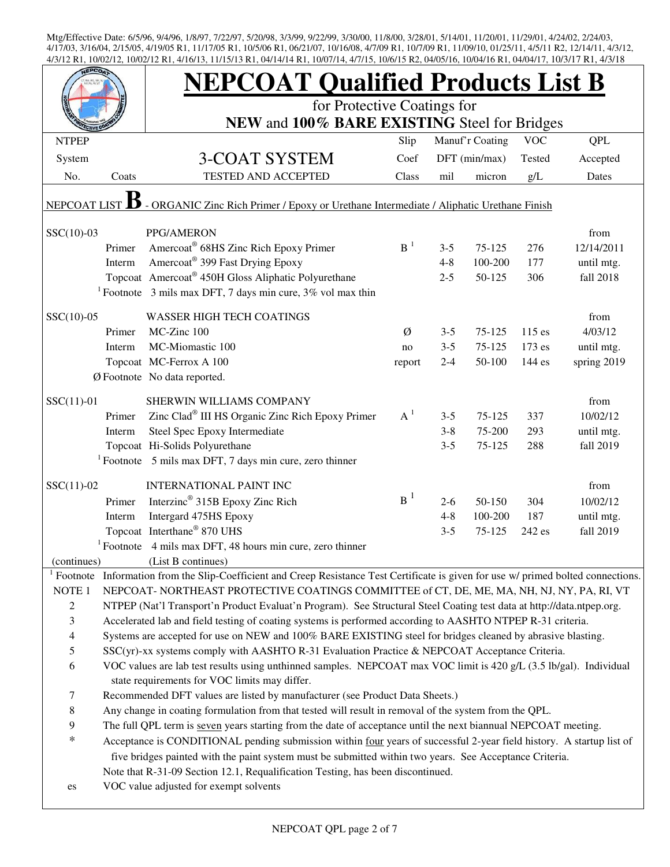|                     |                                                                                                                                                                                                                     | <b>NEPCOAT Qualified Products List B</b>                                                                                   |        |         |                 |            |             |  |  |
|---------------------|---------------------------------------------------------------------------------------------------------------------------------------------------------------------------------------------------------------------|----------------------------------------------------------------------------------------------------------------------------|--------|---------|-----------------|------------|-------------|--|--|
|                     |                                                                                                                                                                                                                     | for Protective Coatings for<br>NEW and 100% BARE EXISTING Steel for Bridges                                                |        |         |                 |            |             |  |  |
|                     |                                                                                                                                                                                                                     |                                                                                                                            |        |         |                 |            |             |  |  |
| <b>NTPEP</b>        |                                                                                                                                                                                                                     |                                                                                                                            | Slip   |         | Manuf'r Coating | <b>VOC</b> | <b>QPL</b>  |  |  |
| System              |                                                                                                                                                                                                                     | 3-COAT SYSTEM                                                                                                              | Coef   |         | DFT (min/max)   | Tested     | Accepted    |  |  |
| No.                 | Coats                                                                                                                                                                                                               | <b>TESTED AND ACCEPTED</b>                                                                                                 | Class  | mil     | micron          | g/L        | Dates       |  |  |
| NEPCOAT LIST        |                                                                                                                                                                                                                     | - ORGANIC Zinc Rich Primer / Epoxy or Urethane Intermediate / Aliphatic Urethane Finish                                    |        |         |                 |            |             |  |  |
| $SSC(10)-03$        |                                                                                                                                                                                                                     | PPG/AMERON                                                                                                                 |        |         |                 |            | from        |  |  |
|                     | Primer                                                                                                                                                                                                              | Amercoat® 68HS Zinc Rich Epoxy Primer                                                                                      | $B-1$  | $3 - 5$ | 75-125          | 276        | 12/14/2011  |  |  |
|                     | Interm                                                                                                                                                                                                              | Amercoat <sup>®</sup> 399 Fast Drying Epoxy                                                                                |        | $4 - 8$ | 100-200         | 177        | until mtg.  |  |  |
|                     |                                                                                                                                                                                                                     | Topcoat Amercoat® 450H Gloss Aliphatic Polyurethane                                                                        |        | $2 - 5$ | 50-125          | 306        | fall 2018   |  |  |
|                     |                                                                                                                                                                                                                     | <sup>1</sup> Footnote 3 mils max DFT, 7 days min cure, $3\%$ vol max thin                                                  |        |         |                 |            |             |  |  |
| $SSC(10)-05$        |                                                                                                                                                                                                                     | <b>WASSER HIGH TECH COATINGS</b>                                                                                           |        |         |                 |            | from        |  |  |
|                     | Primer                                                                                                                                                                                                              | MC-Zinc 100                                                                                                                | Ø      | $3 - 5$ | 75-125          | 115 es     | 4/03/12     |  |  |
|                     | Interm                                                                                                                                                                                                              | MC-Miomastic 100                                                                                                           | no     | $3 - 5$ | 75-125          | 173 es     | until mtg.  |  |  |
|                     |                                                                                                                                                                                                                     | Topcoat MC-Ferrox A 100                                                                                                    | report | $2 - 4$ | 50-100          | 144 es     | spring 2019 |  |  |
|                     |                                                                                                                                                                                                                     | Ø Footnote No data reported.                                                                                               |        |         |                 |            |             |  |  |
| $SSC(11)-01$        |                                                                                                                                                                                                                     | SHERWIN WILLIAMS COMPANY                                                                                                   |        |         |                 |            | from        |  |  |
|                     | Primer                                                                                                                                                                                                              | Zinc Clad® III HS Organic Zinc Rich Epoxy Primer                                                                           | $A^1$  | $3 - 5$ | 75-125          | 337        | 10/02/12    |  |  |
|                     | Interm                                                                                                                                                                                                              | Steel Spec Epoxy Intermediate                                                                                              |        | $3 - 8$ | 75-200          | 293        | until mtg.  |  |  |
|                     |                                                                                                                                                                                                                     | Topcoat Hi-Solids Polyurethane                                                                                             |        | $3 - 5$ | 75-125          | 288        | fall 2019   |  |  |
|                     |                                                                                                                                                                                                                     | <sup>1</sup> Footnote 5 mils max DFT, 7 days min cure, zero thinner                                                        |        |         |                 |            |             |  |  |
| $SSC(11)-02$        |                                                                                                                                                                                                                     | <b>INTERNATIONAL PAINT INC</b>                                                                                             |        |         |                 |            | from        |  |  |
|                     | Primer                                                                                                                                                                                                              | Interzinc <sup>®</sup> 315B Epoxy Zinc Rich                                                                                | $B^1$  | $2 - 6$ | 50-150          | 304        | 10/02/12    |  |  |
|                     | Interm                                                                                                                                                                                                              | Intergard 475HS Epoxy                                                                                                      |        | $4 - 8$ | 100-200         | 187        | until mtg.  |  |  |
|                     |                                                                                                                                                                                                                     | Topcoat Interthane® 870 UHS                                                                                                |        | $3 - 5$ | 75-125          | 242 es     | fall 2019   |  |  |
|                     |                                                                                                                                                                                                                     | <sup>1</sup> Footnote 4 mils max DFT, 48 hours min cure, zero thinner                                                      |        |         |                 |            |             |  |  |
| (continues)         |                                                                                                                                                                                                                     | (List B continues)                                                                                                         |        |         |                 |            |             |  |  |
| $1$ Footnote        |                                                                                                                                                                                                                     | Information from the Slip-Coefficient and Creep Resistance Test Certificate is given for use w/ primed bolted connections. |        |         |                 |            |             |  |  |
| NOTE <sub>1</sub>   |                                                                                                                                                                                                                     | NEPCOAT-NORTHEAST PROTECTIVE COATINGS COMMITTEE of CT, DE, ME, MA, NH, NJ, NY, PA, RI, VT                                  |        |         |                 |            |             |  |  |
| $\overline{2}$      |                                                                                                                                                                                                                     | NTPEP (Nat'l Transport'n Product Evaluat'n Program). See Structural Steel Coating test data at http://data.ntpep.org.      |        |         |                 |            |             |  |  |
| 3                   |                                                                                                                                                                                                                     | Accelerated lab and field testing of coating systems is performed according to AASHTO NTPEP R-31 criteria.                 |        |         |                 |            |             |  |  |
| $\overline{4}$<br>5 |                                                                                                                                                                                                                     | Systems are accepted for use on NEW and 100% BARE EXISTING steel for bridges cleaned by abrasive blasting.                 |        |         |                 |            |             |  |  |
| 6                   | SSC(yr)-xx systems comply with AASHTO R-31 Evaluation Practice & NEPCOAT Acceptance Criteria.<br>VOC values are lab test results using unthinned samples. NEPCOAT max VOC limit is 420 g/L (3.5 lb/gal). Individual |                                                                                                                            |        |         |                 |            |             |  |  |
|                     |                                                                                                                                                                                                                     | state requirements for VOC limits may differ.                                                                              |        |         |                 |            |             |  |  |
| 7                   |                                                                                                                                                                                                                     | Recommended DFT values are listed by manufacturer (see Product Data Sheets.)                                               |        |         |                 |            |             |  |  |
| $\,8\,$             |                                                                                                                                                                                                                     | Any change in coating formulation from that tested will result in removal of the system from the QPL.                      |        |         |                 |            |             |  |  |
| 9                   |                                                                                                                                                                                                                     | The full QPL term is seven years starting from the date of acceptance until the next biannual NEPCOAT meeting.             |        |         |                 |            |             |  |  |
| $\ast$              |                                                                                                                                                                                                                     | Acceptance is CONDITIONAL pending submission within four years of successful 2-year field history. A startup list of       |        |         |                 |            |             |  |  |
|                     |                                                                                                                                                                                                                     | five bridges painted with the paint system must be submitted within two years. See Acceptance Criteria.                    |        |         |                 |            |             |  |  |
|                     |                                                                                                                                                                                                                     | Note that R-31-09 Section 12.1, Requalification Testing, has been discontinued.                                            |        |         |                 |            |             |  |  |
| es                  |                                                                                                                                                                                                                     | VOC value adjusted for exempt solvents                                                                                     |        |         |                 |            |             |  |  |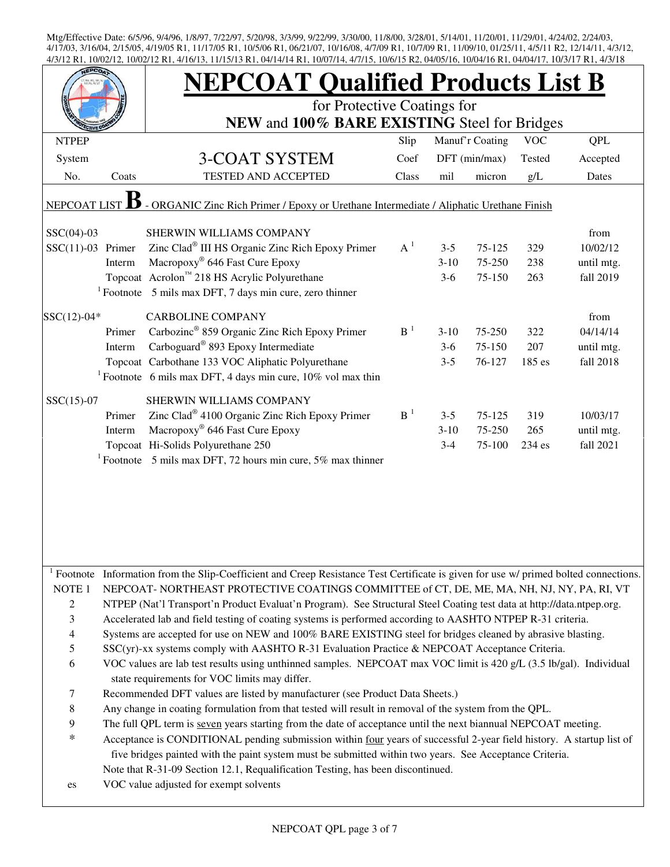| for Protective Coatings for<br>NEW and 100% BARE EXISTING Steel for Bridges<br>Manuf'r Coating<br>QPL<br><b>VOC</b><br>Slip<br><b>NTPEP</b><br>3-COAT SYSTEM<br>DFT (min/max)<br>System<br>Coef<br>Tested<br>Accepted<br>TESTED AND ACCEPTED<br>No.<br>Coats<br>Class<br>mil<br>micron<br>g/L<br>Dates<br>- ORGANIC Zinc Rich Primer / Epoxy or Urethane Intermediate / Aliphatic Urethane Finish<br><b>NEPCOAT LIST</b><br>$SSC(04)-03$<br>from<br>SHERWIN WILLIAMS COMPANY<br>Zinc Clad® III HS Organic Zinc Rich Epoxy Primer<br>$A^1$<br>$SSC(11)-03$ Primer<br>75-125<br>329<br>10/02/12<br>$3 - 5$<br>Macropoxy <sup>®</sup> 646 Fast Cure Epoxy<br>Interm<br>75-250<br>$3-10$<br>238<br>until mtg.<br>Topcoat Acrolon <sup>™</sup> 218 HS Acrylic Polyurethane<br>75-150<br>263<br>fall 2019<br>$3-6$<br>$1$ Footnote 5 mils max DFT, 7 days min cure, zero thinner<br>$SSC(12)-04*$<br><b>CARBOLINE COMPANY</b><br>from<br>Carbozinc <sup>®</sup> 859 Organic Zinc Rich Epoxy Primer<br>B <sup>1</sup><br>Primer<br>$3-10$<br>75-250<br>322<br>Carboguard <sup>®</sup> 893 Epoxy Intermediate<br>Interm<br>75-150<br>207<br>$3-6$<br>until mtg.<br>Topcoat Carbothane 133 VOC Aliphatic Polyurethane<br>76-127<br>185 es<br>fall 2018<br>$3 - 5$<br><sup>1</sup> Footnote 6 mils max DFT, 4 days min cure, $10\%$ vol max thin<br>$SSC(15)-07$<br>SHERWIN WILLIAMS COMPANY<br>Zinc Clad <sup>®</sup> 4100 Organic Zinc Rich Epoxy Primer<br>$B-1$<br>Primer<br>75-125<br>319<br>10/03/17<br>$3 - 5$<br>Macropoxy® 646 Fast Cure Epoxy<br>Interm<br>$3-10$<br>75-250<br>265<br>until mtg.<br>Topcoat Hi-Solids Polyurethane 250<br>234 es<br>fall 2021<br>$3 - 4$<br>75-100<br><sup>1</sup> Footnote 5 mils max DFT, 72 hours min cure, 5% max thinner<br>Footnote Information from the Slip-Coefficient and Creep Resistance Test Certificate is given for use w/ primed bolted connections.<br>NOTE <sub>1</sub><br>NEPCOAT- NORTHEAST PROTECTIVE COATINGS COMMITTEE of CT, DE, ME, MA, NH, NJ, NY, PA, RI, VT<br>$\overline{c}$<br>NTPEP (Nat'l Transport'n Product Evaluat'n Program). See Structural Steel Coating test data at http://data.ntpep.org.<br>3<br>Accelerated lab and field testing of coating systems is performed according to AASHTO NTPEP R-31 criteria.<br>$\overline{\mathcal{A}}$<br>Systems are accepted for use on NEW and 100% BARE EXISTING steel for bridges cleaned by abrasive blasting.<br>5<br>SSC(yr)-xx systems comply with AASHTO R-31 Evaluation Practice & NEPCOAT Acceptance Criteria.<br>6<br>VOC values are lab test results using unthinned samples. NEPCOAT max VOC limit is 420 g/L (3.5 lb/gal). Individual<br>state requirements for VOC limits may differ.<br>Recommended DFT values are listed by manufacturer (see Product Data Sheets.)<br>7<br>8<br>Any change in coating formulation from that tested will result in removal of the system from the QPL.<br>9<br>The full QPL term is seven years starting from the date of acceptance until the next biannual NEPCOAT meeting.<br>$\ast$<br>Acceptance is CONDITIONAL pending submission within four years of successful 2-year field history. A startup list of<br>five bridges painted with the paint system must be submitted within two years. See Acceptance Criteria.<br>Note that R-31-09 Section 12.1, Requalification Testing, has been discontinued.<br>VOC value adjusted for exempt solvents<br>es |  | <b>NEPCOAT Qualified Products List B</b> |  |  |          |
|-----------------------------------------------------------------------------------------------------------------------------------------------------------------------------------------------------------------------------------------------------------------------------------------------------------------------------------------------------------------------------------------------------------------------------------------------------------------------------------------------------------------------------------------------------------------------------------------------------------------------------------------------------------------------------------------------------------------------------------------------------------------------------------------------------------------------------------------------------------------------------------------------------------------------------------------------------------------------------------------------------------------------------------------------------------------------------------------------------------------------------------------------------------------------------------------------------------------------------------------------------------------------------------------------------------------------------------------------------------------------------------------------------------------------------------------------------------------------------------------------------------------------------------------------------------------------------------------------------------------------------------------------------------------------------------------------------------------------------------------------------------------------------------------------------------------------------------------------------------------------------------------------------------------------------------------------------------------------------------------------------------------------------------------------------------------------------------------------------------------------------------------------------------------------------------------------------------------------------------------------------------------------------------------------------------------------------------------------------------------------------------------------------------------------------------------------------------------------------------------------------------------------------------------------------------------------------------------------------------------------------------------------------------------------------------------------------------------------------------------------------------------------------------------------------------------------------------------------------------------------------------------------------------------------------------------------------------------------------------------------------------------------------------------------------------------------------------------------------------------------------------------------------------------------------------------------------------------------------------------------------------------------------------------------------------------------------------------------------------------------------------------------------------------------------|--|------------------------------------------|--|--|----------|
|                                                                                                                                                                                                                                                                                                                                                                                                                                                                                                                                                                                                                                                                                                                                                                                                                                                                                                                                                                                                                                                                                                                                                                                                                                                                                                                                                                                                                                                                                                                                                                                                                                                                                                                                                                                                                                                                                                                                                                                                                                                                                                                                                                                                                                                                                                                                                                                                                                                                                                                                                                                                                                                                                                                                                                                                                                                                                                                                                                                                                                                                                                                                                                                                                                                                                                                                                                                                                             |  |                                          |  |  |          |
|                                                                                                                                                                                                                                                                                                                                                                                                                                                                                                                                                                                                                                                                                                                                                                                                                                                                                                                                                                                                                                                                                                                                                                                                                                                                                                                                                                                                                                                                                                                                                                                                                                                                                                                                                                                                                                                                                                                                                                                                                                                                                                                                                                                                                                                                                                                                                                                                                                                                                                                                                                                                                                                                                                                                                                                                                                                                                                                                                                                                                                                                                                                                                                                                                                                                                                                                                                                                                             |  |                                          |  |  |          |
|                                                                                                                                                                                                                                                                                                                                                                                                                                                                                                                                                                                                                                                                                                                                                                                                                                                                                                                                                                                                                                                                                                                                                                                                                                                                                                                                                                                                                                                                                                                                                                                                                                                                                                                                                                                                                                                                                                                                                                                                                                                                                                                                                                                                                                                                                                                                                                                                                                                                                                                                                                                                                                                                                                                                                                                                                                                                                                                                                                                                                                                                                                                                                                                                                                                                                                                                                                                                                             |  |                                          |  |  |          |
|                                                                                                                                                                                                                                                                                                                                                                                                                                                                                                                                                                                                                                                                                                                                                                                                                                                                                                                                                                                                                                                                                                                                                                                                                                                                                                                                                                                                                                                                                                                                                                                                                                                                                                                                                                                                                                                                                                                                                                                                                                                                                                                                                                                                                                                                                                                                                                                                                                                                                                                                                                                                                                                                                                                                                                                                                                                                                                                                                                                                                                                                                                                                                                                                                                                                                                                                                                                                                             |  |                                          |  |  |          |
|                                                                                                                                                                                                                                                                                                                                                                                                                                                                                                                                                                                                                                                                                                                                                                                                                                                                                                                                                                                                                                                                                                                                                                                                                                                                                                                                                                                                                                                                                                                                                                                                                                                                                                                                                                                                                                                                                                                                                                                                                                                                                                                                                                                                                                                                                                                                                                                                                                                                                                                                                                                                                                                                                                                                                                                                                                                                                                                                                                                                                                                                                                                                                                                                                                                                                                                                                                                                                             |  |                                          |  |  |          |
|                                                                                                                                                                                                                                                                                                                                                                                                                                                                                                                                                                                                                                                                                                                                                                                                                                                                                                                                                                                                                                                                                                                                                                                                                                                                                                                                                                                                                                                                                                                                                                                                                                                                                                                                                                                                                                                                                                                                                                                                                                                                                                                                                                                                                                                                                                                                                                                                                                                                                                                                                                                                                                                                                                                                                                                                                                                                                                                                                                                                                                                                                                                                                                                                                                                                                                                                                                                                                             |  |                                          |  |  |          |
|                                                                                                                                                                                                                                                                                                                                                                                                                                                                                                                                                                                                                                                                                                                                                                                                                                                                                                                                                                                                                                                                                                                                                                                                                                                                                                                                                                                                                                                                                                                                                                                                                                                                                                                                                                                                                                                                                                                                                                                                                                                                                                                                                                                                                                                                                                                                                                                                                                                                                                                                                                                                                                                                                                                                                                                                                                                                                                                                                                                                                                                                                                                                                                                                                                                                                                                                                                                                                             |  |                                          |  |  |          |
|                                                                                                                                                                                                                                                                                                                                                                                                                                                                                                                                                                                                                                                                                                                                                                                                                                                                                                                                                                                                                                                                                                                                                                                                                                                                                                                                                                                                                                                                                                                                                                                                                                                                                                                                                                                                                                                                                                                                                                                                                                                                                                                                                                                                                                                                                                                                                                                                                                                                                                                                                                                                                                                                                                                                                                                                                                                                                                                                                                                                                                                                                                                                                                                                                                                                                                                                                                                                                             |  |                                          |  |  |          |
|                                                                                                                                                                                                                                                                                                                                                                                                                                                                                                                                                                                                                                                                                                                                                                                                                                                                                                                                                                                                                                                                                                                                                                                                                                                                                                                                                                                                                                                                                                                                                                                                                                                                                                                                                                                                                                                                                                                                                                                                                                                                                                                                                                                                                                                                                                                                                                                                                                                                                                                                                                                                                                                                                                                                                                                                                                                                                                                                                                                                                                                                                                                                                                                                                                                                                                                                                                                                                             |  |                                          |  |  |          |
|                                                                                                                                                                                                                                                                                                                                                                                                                                                                                                                                                                                                                                                                                                                                                                                                                                                                                                                                                                                                                                                                                                                                                                                                                                                                                                                                                                                                                                                                                                                                                                                                                                                                                                                                                                                                                                                                                                                                                                                                                                                                                                                                                                                                                                                                                                                                                                                                                                                                                                                                                                                                                                                                                                                                                                                                                                                                                                                                                                                                                                                                                                                                                                                                                                                                                                                                                                                                                             |  |                                          |  |  |          |
|                                                                                                                                                                                                                                                                                                                                                                                                                                                                                                                                                                                                                                                                                                                                                                                                                                                                                                                                                                                                                                                                                                                                                                                                                                                                                                                                                                                                                                                                                                                                                                                                                                                                                                                                                                                                                                                                                                                                                                                                                                                                                                                                                                                                                                                                                                                                                                                                                                                                                                                                                                                                                                                                                                                                                                                                                                                                                                                                                                                                                                                                                                                                                                                                                                                                                                                                                                                                                             |  |                                          |  |  |          |
|                                                                                                                                                                                                                                                                                                                                                                                                                                                                                                                                                                                                                                                                                                                                                                                                                                                                                                                                                                                                                                                                                                                                                                                                                                                                                                                                                                                                                                                                                                                                                                                                                                                                                                                                                                                                                                                                                                                                                                                                                                                                                                                                                                                                                                                                                                                                                                                                                                                                                                                                                                                                                                                                                                                                                                                                                                                                                                                                                                                                                                                                                                                                                                                                                                                                                                                                                                                                                             |  |                                          |  |  |          |
|                                                                                                                                                                                                                                                                                                                                                                                                                                                                                                                                                                                                                                                                                                                                                                                                                                                                                                                                                                                                                                                                                                                                                                                                                                                                                                                                                                                                                                                                                                                                                                                                                                                                                                                                                                                                                                                                                                                                                                                                                                                                                                                                                                                                                                                                                                                                                                                                                                                                                                                                                                                                                                                                                                                                                                                                                                                                                                                                                                                                                                                                                                                                                                                                                                                                                                                                                                                                                             |  |                                          |  |  | 04/14/14 |
|                                                                                                                                                                                                                                                                                                                                                                                                                                                                                                                                                                                                                                                                                                                                                                                                                                                                                                                                                                                                                                                                                                                                                                                                                                                                                                                                                                                                                                                                                                                                                                                                                                                                                                                                                                                                                                                                                                                                                                                                                                                                                                                                                                                                                                                                                                                                                                                                                                                                                                                                                                                                                                                                                                                                                                                                                                                                                                                                                                                                                                                                                                                                                                                                                                                                                                                                                                                                                             |  |                                          |  |  |          |
|                                                                                                                                                                                                                                                                                                                                                                                                                                                                                                                                                                                                                                                                                                                                                                                                                                                                                                                                                                                                                                                                                                                                                                                                                                                                                                                                                                                                                                                                                                                                                                                                                                                                                                                                                                                                                                                                                                                                                                                                                                                                                                                                                                                                                                                                                                                                                                                                                                                                                                                                                                                                                                                                                                                                                                                                                                                                                                                                                                                                                                                                                                                                                                                                                                                                                                                                                                                                                             |  |                                          |  |  |          |
|                                                                                                                                                                                                                                                                                                                                                                                                                                                                                                                                                                                                                                                                                                                                                                                                                                                                                                                                                                                                                                                                                                                                                                                                                                                                                                                                                                                                                                                                                                                                                                                                                                                                                                                                                                                                                                                                                                                                                                                                                                                                                                                                                                                                                                                                                                                                                                                                                                                                                                                                                                                                                                                                                                                                                                                                                                                                                                                                                                                                                                                                                                                                                                                                                                                                                                                                                                                                                             |  |                                          |  |  |          |
|                                                                                                                                                                                                                                                                                                                                                                                                                                                                                                                                                                                                                                                                                                                                                                                                                                                                                                                                                                                                                                                                                                                                                                                                                                                                                                                                                                                                                                                                                                                                                                                                                                                                                                                                                                                                                                                                                                                                                                                                                                                                                                                                                                                                                                                                                                                                                                                                                                                                                                                                                                                                                                                                                                                                                                                                                                                                                                                                                                                                                                                                                                                                                                                                                                                                                                                                                                                                                             |  |                                          |  |  |          |
|                                                                                                                                                                                                                                                                                                                                                                                                                                                                                                                                                                                                                                                                                                                                                                                                                                                                                                                                                                                                                                                                                                                                                                                                                                                                                                                                                                                                                                                                                                                                                                                                                                                                                                                                                                                                                                                                                                                                                                                                                                                                                                                                                                                                                                                                                                                                                                                                                                                                                                                                                                                                                                                                                                                                                                                                                                                                                                                                                                                                                                                                                                                                                                                                                                                                                                                                                                                                                             |  |                                          |  |  |          |
|                                                                                                                                                                                                                                                                                                                                                                                                                                                                                                                                                                                                                                                                                                                                                                                                                                                                                                                                                                                                                                                                                                                                                                                                                                                                                                                                                                                                                                                                                                                                                                                                                                                                                                                                                                                                                                                                                                                                                                                                                                                                                                                                                                                                                                                                                                                                                                                                                                                                                                                                                                                                                                                                                                                                                                                                                                                                                                                                                                                                                                                                                                                                                                                                                                                                                                                                                                                                                             |  |                                          |  |  |          |
|                                                                                                                                                                                                                                                                                                                                                                                                                                                                                                                                                                                                                                                                                                                                                                                                                                                                                                                                                                                                                                                                                                                                                                                                                                                                                                                                                                                                                                                                                                                                                                                                                                                                                                                                                                                                                                                                                                                                                                                                                                                                                                                                                                                                                                                                                                                                                                                                                                                                                                                                                                                                                                                                                                                                                                                                                                                                                                                                                                                                                                                                                                                                                                                                                                                                                                                                                                                                                             |  |                                          |  |  |          |
|                                                                                                                                                                                                                                                                                                                                                                                                                                                                                                                                                                                                                                                                                                                                                                                                                                                                                                                                                                                                                                                                                                                                                                                                                                                                                                                                                                                                                                                                                                                                                                                                                                                                                                                                                                                                                                                                                                                                                                                                                                                                                                                                                                                                                                                                                                                                                                                                                                                                                                                                                                                                                                                                                                                                                                                                                                                                                                                                                                                                                                                                                                                                                                                                                                                                                                                                                                                                                             |  |                                          |  |  |          |
|                                                                                                                                                                                                                                                                                                                                                                                                                                                                                                                                                                                                                                                                                                                                                                                                                                                                                                                                                                                                                                                                                                                                                                                                                                                                                                                                                                                                                                                                                                                                                                                                                                                                                                                                                                                                                                                                                                                                                                                                                                                                                                                                                                                                                                                                                                                                                                                                                                                                                                                                                                                                                                                                                                                                                                                                                                                                                                                                                                                                                                                                                                                                                                                                                                                                                                                                                                                                                             |  |                                          |  |  |          |
|                                                                                                                                                                                                                                                                                                                                                                                                                                                                                                                                                                                                                                                                                                                                                                                                                                                                                                                                                                                                                                                                                                                                                                                                                                                                                                                                                                                                                                                                                                                                                                                                                                                                                                                                                                                                                                                                                                                                                                                                                                                                                                                                                                                                                                                                                                                                                                                                                                                                                                                                                                                                                                                                                                                                                                                                                                                                                                                                                                                                                                                                                                                                                                                                                                                                                                                                                                                                                             |  |                                          |  |  |          |
|                                                                                                                                                                                                                                                                                                                                                                                                                                                                                                                                                                                                                                                                                                                                                                                                                                                                                                                                                                                                                                                                                                                                                                                                                                                                                                                                                                                                                                                                                                                                                                                                                                                                                                                                                                                                                                                                                                                                                                                                                                                                                                                                                                                                                                                                                                                                                                                                                                                                                                                                                                                                                                                                                                                                                                                                                                                                                                                                                                                                                                                                                                                                                                                                                                                                                                                                                                                                                             |  |                                          |  |  |          |
|                                                                                                                                                                                                                                                                                                                                                                                                                                                                                                                                                                                                                                                                                                                                                                                                                                                                                                                                                                                                                                                                                                                                                                                                                                                                                                                                                                                                                                                                                                                                                                                                                                                                                                                                                                                                                                                                                                                                                                                                                                                                                                                                                                                                                                                                                                                                                                                                                                                                                                                                                                                                                                                                                                                                                                                                                                                                                                                                                                                                                                                                                                                                                                                                                                                                                                                                                                                                                             |  |                                          |  |  |          |
|                                                                                                                                                                                                                                                                                                                                                                                                                                                                                                                                                                                                                                                                                                                                                                                                                                                                                                                                                                                                                                                                                                                                                                                                                                                                                                                                                                                                                                                                                                                                                                                                                                                                                                                                                                                                                                                                                                                                                                                                                                                                                                                                                                                                                                                                                                                                                                                                                                                                                                                                                                                                                                                                                                                                                                                                                                                                                                                                                                                                                                                                                                                                                                                                                                                                                                                                                                                                                             |  |                                          |  |  |          |
|                                                                                                                                                                                                                                                                                                                                                                                                                                                                                                                                                                                                                                                                                                                                                                                                                                                                                                                                                                                                                                                                                                                                                                                                                                                                                                                                                                                                                                                                                                                                                                                                                                                                                                                                                                                                                                                                                                                                                                                                                                                                                                                                                                                                                                                                                                                                                                                                                                                                                                                                                                                                                                                                                                                                                                                                                                                                                                                                                                                                                                                                                                                                                                                                                                                                                                                                                                                                                             |  |                                          |  |  |          |
|                                                                                                                                                                                                                                                                                                                                                                                                                                                                                                                                                                                                                                                                                                                                                                                                                                                                                                                                                                                                                                                                                                                                                                                                                                                                                                                                                                                                                                                                                                                                                                                                                                                                                                                                                                                                                                                                                                                                                                                                                                                                                                                                                                                                                                                                                                                                                                                                                                                                                                                                                                                                                                                                                                                                                                                                                                                                                                                                                                                                                                                                                                                                                                                                                                                                                                                                                                                                                             |  |                                          |  |  |          |
|                                                                                                                                                                                                                                                                                                                                                                                                                                                                                                                                                                                                                                                                                                                                                                                                                                                                                                                                                                                                                                                                                                                                                                                                                                                                                                                                                                                                                                                                                                                                                                                                                                                                                                                                                                                                                                                                                                                                                                                                                                                                                                                                                                                                                                                                                                                                                                                                                                                                                                                                                                                                                                                                                                                                                                                                                                                                                                                                                                                                                                                                                                                                                                                                                                                                                                                                                                                                                             |  |                                          |  |  |          |
|                                                                                                                                                                                                                                                                                                                                                                                                                                                                                                                                                                                                                                                                                                                                                                                                                                                                                                                                                                                                                                                                                                                                                                                                                                                                                                                                                                                                                                                                                                                                                                                                                                                                                                                                                                                                                                                                                                                                                                                                                                                                                                                                                                                                                                                                                                                                                                                                                                                                                                                                                                                                                                                                                                                                                                                                                                                                                                                                                                                                                                                                                                                                                                                                                                                                                                                                                                                                                             |  |                                          |  |  |          |
|                                                                                                                                                                                                                                                                                                                                                                                                                                                                                                                                                                                                                                                                                                                                                                                                                                                                                                                                                                                                                                                                                                                                                                                                                                                                                                                                                                                                                                                                                                                                                                                                                                                                                                                                                                                                                                                                                                                                                                                                                                                                                                                                                                                                                                                                                                                                                                                                                                                                                                                                                                                                                                                                                                                                                                                                                                                                                                                                                                                                                                                                                                                                                                                                                                                                                                                                                                                                                             |  |                                          |  |  |          |
|                                                                                                                                                                                                                                                                                                                                                                                                                                                                                                                                                                                                                                                                                                                                                                                                                                                                                                                                                                                                                                                                                                                                                                                                                                                                                                                                                                                                                                                                                                                                                                                                                                                                                                                                                                                                                                                                                                                                                                                                                                                                                                                                                                                                                                                                                                                                                                                                                                                                                                                                                                                                                                                                                                                                                                                                                                                                                                                                                                                                                                                                                                                                                                                                                                                                                                                                                                                                                             |  |                                          |  |  |          |
|                                                                                                                                                                                                                                                                                                                                                                                                                                                                                                                                                                                                                                                                                                                                                                                                                                                                                                                                                                                                                                                                                                                                                                                                                                                                                                                                                                                                                                                                                                                                                                                                                                                                                                                                                                                                                                                                                                                                                                                                                                                                                                                                                                                                                                                                                                                                                                                                                                                                                                                                                                                                                                                                                                                                                                                                                                                                                                                                                                                                                                                                                                                                                                                                                                                                                                                                                                                                                             |  |                                          |  |  |          |
|                                                                                                                                                                                                                                                                                                                                                                                                                                                                                                                                                                                                                                                                                                                                                                                                                                                                                                                                                                                                                                                                                                                                                                                                                                                                                                                                                                                                                                                                                                                                                                                                                                                                                                                                                                                                                                                                                                                                                                                                                                                                                                                                                                                                                                                                                                                                                                                                                                                                                                                                                                                                                                                                                                                                                                                                                                                                                                                                                                                                                                                                                                                                                                                                                                                                                                                                                                                                                             |  |                                          |  |  |          |
|                                                                                                                                                                                                                                                                                                                                                                                                                                                                                                                                                                                                                                                                                                                                                                                                                                                                                                                                                                                                                                                                                                                                                                                                                                                                                                                                                                                                                                                                                                                                                                                                                                                                                                                                                                                                                                                                                                                                                                                                                                                                                                                                                                                                                                                                                                                                                                                                                                                                                                                                                                                                                                                                                                                                                                                                                                                                                                                                                                                                                                                                                                                                                                                                                                                                                                                                                                                                                             |  |                                          |  |  |          |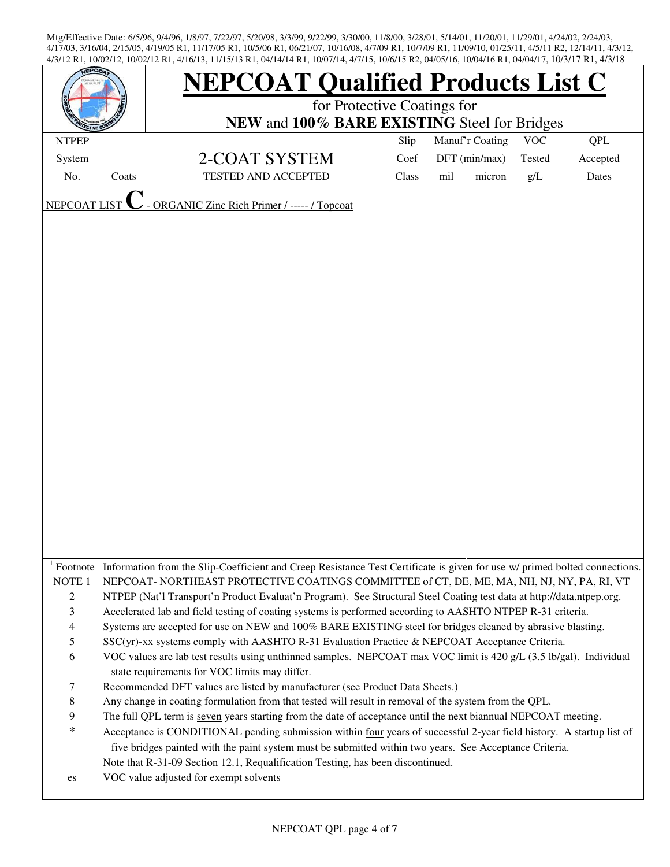|                     |       | <b>NEPCOAT Qualified Products List C</b>                                                                                                                                                                                         |       |                 |            |            |  |
|---------------------|-------|----------------------------------------------------------------------------------------------------------------------------------------------------------------------------------------------------------------------------------|-------|-----------------|------------|------------|--|
|                     |       | for Protective Coatings for<br>NEW and 100% BARE EXISTING Steel for Bridges                                                                                                                                                      |       |                 |            |            |  |
| <b>NTPEP</b>        |       |                                                                                                                                                                                                                                  | Slip  | Manuf'r Coating | <b>VOC</b> | <b>QPL</b> |  |
| System              |       |                                                                                                                                                                                                                                  | Coef  | DFT (min/max)   | Tested     | Accepted   |  |
|                     |       | 2-COAT SYSTEM<br><b>TESTED AND ACCEPTED</b>                                                                                                                                                                                      |       |                 |            |            |  |
| No.                 | Coats |                                                                                                                                                                                                                                  | Class | mil<br>micron   | g/L        | Dates      |  |
| <b>NEPCOAT LIST</b> |       | - ORGANIC Zinc Rich Primer / ----- / Topcoat                                                                                                                                                                                     |       |                 |            |            |  |
|                     |       |                                                                                                                                                                                                                                  |       |                 |            |            |  |
|                     |       |                                                                                                                                                                                                                                  |       |                 |            |            |  |
|                     |       |                                                                                                                                                                                                                                  |       |                 |            |            |  |
|                     |       |                                                                                                                                                                                                                                  |       |                 |            |            |  |
|                     |       |                                                                                                                                                                                                                                  |       |                 |            |            |  |
|                     |       |                                                                                                                                                                                                                                  |       |                 |            |            |  |
|                     |       |                                                                                                                                                                                                                                  |       |                 |            |            |  |
|                     |       |                                                                                                                                                                                                                                  |       |                 |            |            |  |
|                     |       |                                                                                                                                                                                                                                  |       |                 |            |            |  |
|                     |       |                                                                                                                                                                                                                                  |       |                 |            |            |  |
|                     |       |                                                                                                                                                                                                                                  |       |                 |            |            |  |
|                     |       |                                                                                                                                                                                                                                  |       |                 |            |            |  |
|                     |       |                                                                                                                                                                                                                                  |       |                 |            |            |  |
|                     |       |                                                                                                                                                                                                                                  |       |                 |            |            |  |
|                     |       |                                                                                                                                                                                                                                  |       |                 |            |            |  |
|                     |       |                                                                                                                                                                                                                                  |       |                 |            |            |  |
|                     |       |                                                                                                                                                                                                                                  |       |                 |            |            |  |
|                     |       |                                                                                                                                                                                                                                  |       |                 |            |            |  |
|                     |       |                                                                                                                                                                                                                                  |       |                 |            |            |  |
|                     |       |                                                                                                                                                                                                                                  |       |                 |            |            |  |
|                     |       |                                                                                                                                                                                                                                  |       |                 |            |            |  |
|                     |       |                                                                                                                                                                                                                                  |       |                 |            |            |  |
| NOTE <sub>1</sub>   |       | Footnote Information from the Slip-Coefficient and Creep Resistance Test Certificate is given for use w/ primed bolted connections.<br>NEPCOAT-NORTHEAST PROTECTIVE COATINGS COMMITTEE of CT, DE, ME, MA, NH, NJ, NY, PA, RI, VT |       |                 |            |            |  |
| $\mathbf{2}$        |       | NTPEP (Nat'l Transport'n Product Evaluat'n Program). See Structural Steel Coating test data at http://data.ntpep.org.                                                                                                            |       |                 |            |            |  |
| $\mathfrak{Z}$      |       | Accelerated lab and field testing of coating systems is performed according to AASHTO NTPEP R-31 criteria.                                                                                                                       |       |                 |            |            |  |
| $\overline{4}$      |       | Systems are accepted for use on NEW and 100% BARE EXISTING steel for bridges cleaned by abrasive blasting.                                                                                                                       |       |                 |            |            |  |
| 5                   |       | SSC(yr)-xx systems comply with AASHTO R-31 Evaluation Practice & NEPCOAT Acceptance Criteria.                                                                                                                                    |       |                 |            |            |  |
| 6                   |       | VOC values are lab test results using unthinned samples. NEPCOAT max VOC limit is 420 g/L (3.5 lb/gal). Individual                                                                                                               |       |                 |            |            |  |
|                     |       | state requirements for VOC limits may differ.                                                                                                                                                                                    |       |                 |            |            |  |
| $\tau$              |       | Recommended DFT values are listed by manufacturer (see Product Data Sheets.)                                                                                                                                                     |       |                 |            |            |  |
| $\,8\,$             |       | Any change in coating formulation from that tested will result in removal of the system from the QPL.                                                                                                                            |       |                 |            |            |  |
| 9                   |       | The full QPL term is seven years starting from the date of acceptance until the next biannual NEPCOAT meeting.                                                                                                                   |       |                 |            |            |  |
| $\ast$              |       | Acceptance is CONDITIONAL pending submission within four years of successful 2-year field history. A startup list of                                                                                                             |       |                 |            |            |  |
|                     |       | five bridges painted with the paint system must be submitted within two years. See Acceptance Criteria.                                                                                                                          |       |                 |            |            |  |
|                     |       | Note that R-31-09 Section 12.1, Requalification Testing, has been discontinued.                                                                                                                                                  |       |                 |            |            |  |
| es                  |       | VOC value adjusted for exempt solvents                                                                                                                                                                                           |       |                 |            |            |  |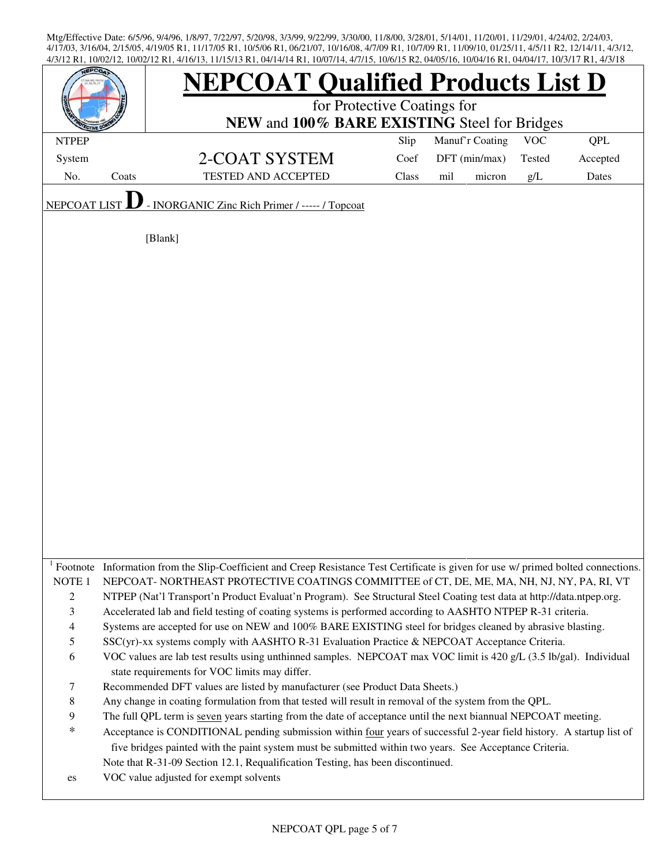| <b>EPCO</b>              |       | <b>NEPCOAT Qualified Products List D</b>                                                                                                                                              |                                              |                 |  |                    |  |  |  |
|--------------------------|-------|---------------------------------------------------------------------------------------------------------------------------------------------------------------------------------------|----------------------------------------------|-----------------|--|--------------------|--|--|--|
|                          |       | for Protective Coatings for                                                                                                                                                           |                                              |                 |  |                    |  |  |  |
|                          |       |                                                                                                                                                                                       | NEW and 100% BARE EXISTING Steel for Bridges |                 |  |                    |  |  |  |
| <b>NTPEP</b>             |       |                                                                                                                                                                                       | Slip                                         | Manuf'r Coating |  | <b>VOC</b><br>QPL  |  |  |  |
| System                   |       | 2-COAT SYSTEM                                                                                                                                                                         | Coef                                         | DFT (min/max)   |  | Tested<br>Accepted |  |  |  |
| No.                      | Coats | <b>TESTED AND ACCEPTED</b>                                                                                                                                                            | Class                                        | mil<br>micron   |  | g/L<br>Dates       |  |  |  |
| NEPCOAT LIST             |       | - INORGANIC Zinc Rich Primer / ----- / Topcoat                                                                                                                                        |                                              |                 |  |                    |  |  |  |
|                          |       |                                                                                                                                                                                       |                                              |                 |  |                    |  |  |  |
|                          |       | [Blank]                                                                                                                                                                               |                                              |                 |  |                    |  |  |  |
|                          |       |                                                                                                                                                                                       |                                              |                 |  |                    |  |  |  |
|                          |       |                                                                                                                                                                                       |                                              |                 |  |                    |  |  |  |
|                          |       |                                                                                                                                                                                       |                                              |                 |  |                    |  |  |  |
|                          |       |                                                                                                                                                                                       |                                              |                 |  |                    |  |  |  |
|                          |       |                                                                                                                                                                                       |                                              |                 |  |                    |  |  |  |
|                          |       |                                                                                                                                                                                       |                                              |                 |  |                    |  |  |  |
|                          |       |                                                                                                                                                                                       |                                              |                 |  |                    |  |  |  |
|                          |       |                                                                                                                                                                                       |                                              |                 |  |                    |  |  |  |
|                          |       |                                                                                                                                                                                       |                                              |                 |  |                    |  |  |  |
|                          |       |                                                                                                                                                                                       |                                              |                 |  |                    |  |  |  |
|                          |       |                                                                                                                                                                                       |                                              |                 |  |                    |  |  |  |
|                          |       |                                                                                                                                                                                       |                                              |                 |  |                    |  |  |  |
|                          |       |                                                                                                                                                                                       |                                              |                 |  |                    |  |  |  |
|                          |       |                                                                                                                                                                                       |                                              |                 |  |                    |  |  |  |
|                          |       |                                                                                                                                                                                       |                                              |                 |  |                    |  |  |  |
|                          |       |                                                                                                                                                                                       |                                              |                 |  |                    |  |  |  |
|                          |       |                                                                                                                                                                                       |                                              |                 |  |                    |  |  |  |
|                          |       |                                                                                                                                                                                       |                                              |                 |  |                    |  |  |  |
|                          |       | Footnote Information from the Slip-Coefficient and Creep Resistance Test Certificate is given for use w/ primed bolted connections.                                                   |                                              |                 |  |                    |  |  |  |
| NOTE <sub>1</sub>        |       | NEPCOAT-NORTHEAST PROTECTIVE COATINGS COMMITTEE of CT, DE, ME, MA, NH, NJ, NY, PA, RI, VT                                                                                             |                                              |                 |  |                    |  |  |  |
| 2                        |       | NTPEP (Nat'l Transport'n Product Evaluat'n Program). See Structural Steel Coating test data at http://data.ntpep.org.                                                                 |                                              |                 |  |                    |  |  |  |
| $\mathfrak{Z}$           |       | Accelerated lab and field testing of coating systems is performed according to AASHTO NTPEP R-31 criteria.                                                                            |                                              |                 |  |                    |  |  |  |
| $\overline{\mathcal{A}}$ |       | Systems are accepted for use on NEW and 100% BARE EXISTING steel for bridges cleaned by abrasive blasting.                                                                            |                                              |                 |  |                    |  |  |  |
| 5                        |       | SSC(yr)-xx systems comply with AASHTO R-31 Evaluation Practice & NEPCOAT Acceptance Criteria.                                                                                         |                                              |                 |  |                    |  |  |  |
| 6                        |       | VOC values are lab test results using unthinned samples. NEPCOAT max VOC limit is 420 g/L (3.5 lb/gal). Individual                                                                    |                                              |                 |  |                    |  |  |  |
|                          |       | state requirements for VOC limits may differ.                                                                                                                                         |                                              |                 |  |                    |  |  |  |
| 7<br>$\,$ 8 $\,$         |       | Recommended DFT values are listed by manufacturer (see Product Data Sheets.)<br>Any change in coating formulation from that tested will result in removal of the system from the QPL. |                                              |                 |  |                    |  |  |  |
| 9                        |       | The full QPL term is seven years starting from the date of acceptance until the next biannual NEPCOAT meeting.                                                                        |                                              |                 |  |                    |  |  |  |
| $\ast$                   |       | Acceptance is CONDITIONAL pending submission within four years of successful 2-year field history. A startup list of                                                                  |                                              |                 |  |                    |  |  |  |
|                          |       | five bridges painted with the paint system must be submitted within two years. See Acceptance Criteria.                                                                               |                                              |                 |  |                    |  |  |  |
|                          |       | Note that R-31-09 Section 12.1, Requalification Testing, has been discontinued.                                                                                                       |                                              |                 |  |                    |  |  |  |
| es                       |       | VOC value adjusted for exempt solvents                                                                                                                                                |                                              |                 |  |                    |  |  |  |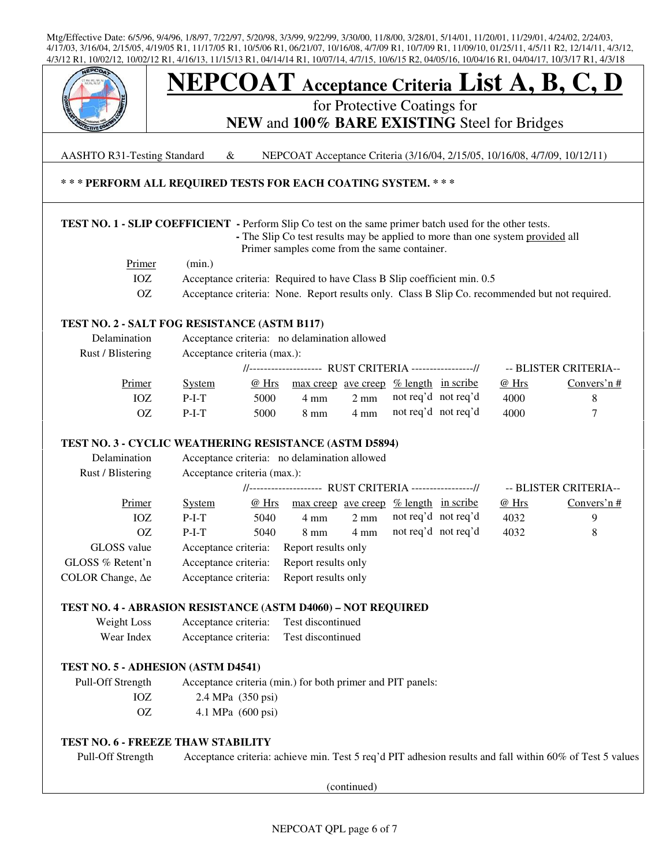